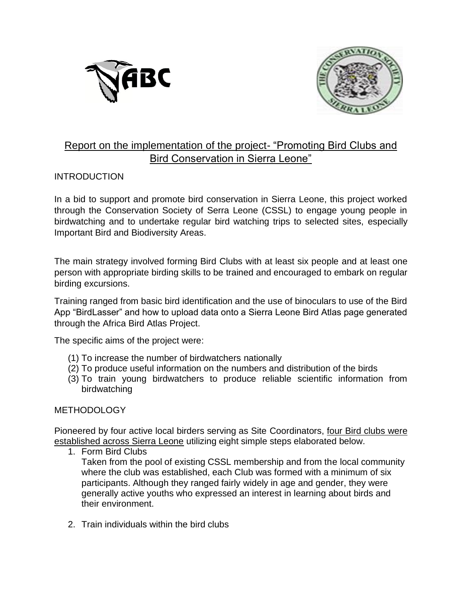



## Report on the implementation of the project- "Promoting Bird Clubs and Bird Conservation in Sierra Leone"

## **INTRODUCTION**

In a bid to support and promote bird conservation in Sierra Leone, this project worked through the Conservation Society of Serra Leone (CSSL) to engage young people in birdwatching and to undertake regular bird watching trips to selected sites, especially Important Bird and Biodiversity Areas.

The main strategy involved forming Bird Clubs with at least six people and at least one person with appropriate birding skills to be trained and encouraged to embark on regular birding excursions.

Training ranged from basic bird identification and the use of binoculars to use of the Bird App "BirdLasser" and how to upload data onto a Sierra Leone Bird Atlas page generated through the Africa Bird Atlas Project.

The specific aims of the project were:

- (1) To increase the number of birdwatchers nationally
- (2) To produce useful information on the numbers and distribution of the birds
- (3) To train young birdwatchers to produce reliable scientific information from birdwatching

#### **METHODOLOGY**

Pioneered by four active local birders serving as Site Coordinators, four Bird clubs were established across Sierra Leone utilizing eight simple steps elaborated below.

1. Form Bird Clubs

Taken from the pool of existing CSSL membership and from the local community where the club was established, each Club was formed with a minimum of six participants. Although they ranged fairly widely in age and gender, they were generally active youths who expressed an interest in learning about birds and their environment.

2. Train individuals within the bird clubs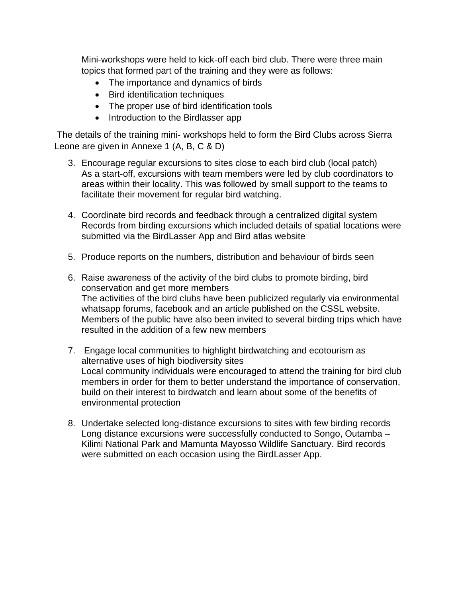Mini-workshops were held to kick-off each bird club. There were three main topics that formed part of the training and they were as follows:

- The importance and dynamics of birds
- Bird identification techniques
- The proper use of bird identification tools
- Introduction to the Birdlasser app

The details of the training mini- workshops held to form the Bird Clubs across Sierra Leone are given in Annexe 1 (A, B, C & D)

- 3. Encourage regular excursions to sites close to each bird club (local patch) As a start-off, excursions with team members were led by club coordinators to areas within their locality. This was followed by small support to the teams to facilitate their movement for regular bird watching.
- 4. Coordinate bird records and feedback through a centralized digital system Records from birding excursions which included details of spatial locations were submitted via the BirdLasser App and Bird atlas website
- 5. Produce reports on the numbers, distribution and behaviour of birds seen
- 6. Raise awareness of the activity of the bird clubs to promote birding, bird conservation and get more members The activities of the bird clubs have been publicized regularly via environmental whatsapp forums, facebook and an article published on the CSSL website. Members of the public have also been invited to several birding trips which have resulted in the addition of a few new members
- 7. Engage local communities to highlight birdwatching and ecotourism as alternative uses of high biodiversity sites Local community individuals were encouraged to attend the training for bird club members in order for them to better understand the importance of conservation, build on their interest to birdwatch and learn about some of the benefits of environmental protection
- 8. Undertake selected long-distance excursions to sites with few birding records Long distance excursions were successfully conducted to Songo, Outamba – Kilimi National Park and Mamunta Mayosso Wildlife Sanctuary. Bird records were submitted on each occasion using the BirdLasser App.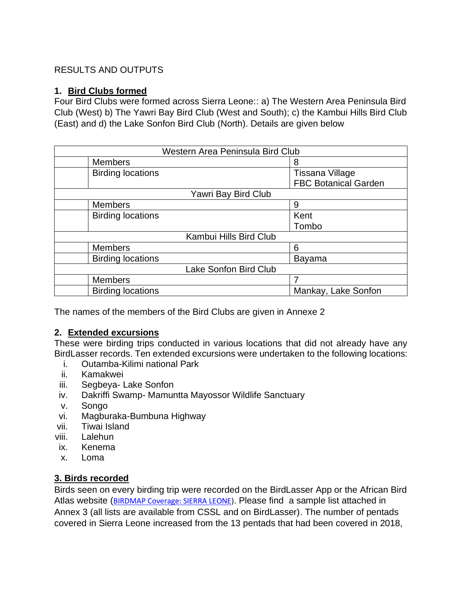## RESULTS AND OUTPUTS

#### **1. Bird Clubs formed**

Four Bird Clubs were formed across Sierra Leone:: a) The Western Area Peninsula Bird Club (West) b) The Yawri Bay Bird Club (West and South); c) the Kambui Hills Bird Club (East) and d) the Lake Sonfon Bird Club (North). Details are given below

| Western Area Peninsula Bird Club |                             |  |
|----------------------------------|-----------------------------|--|
| <b>Members</b>                   | 8                           |  |
| <b>Birding locations</b>         | Tissana Village             |  |
|                                  | <b>FBC Botanical Garden</b> |  |
| Yawri Bay Bird Club              |                             |  |
| <b>Members</b>                   | 9                           |  |
| <b>Birding locations</b>         | Kent                        |  |
|                                  | Tombo                       |  |
| Kambui Hills Bird Club           |                             |  |
| <b>Members</b>                   | 6                           |  |
| <b>Birding locations</b>         | Bayama                      |  |
| Lake Sonfon Bird Club            |                             |  |
| <b>Members</b>                   |                             |  |
| <b>Birding locations</b>         | Mankay, Lake Sonfon         |  |

The names of the members of the Bird Clubs are given in Annexe 2

#### **2. Extended excursions**

These were birding trips conducted in various locations that did not already have any BirdLasser records. Ten extended excursions were undertaken to the following locations:

- i. Outamba-Kilimi national Park
- ii. Kamakwei
- iii. Segbeya- Lake Sonfon
- iv. Dakriffi Swamp- Mamuntta Mayossor Wildlife Sanctuary
- v. Songo
- vi. Magburaka-Bumbuna Highway
- vii. Tiwai Island
- viii. Lalehun
- ix. Kenema
- x. Loma

## **3. Birds recorded**

Birds seen on every birding trip were recorded on the BirdLasser App or the African Bird Atlas website ([BIRDMAP Coverage: SIERRA LEONE\)](about:blank). Please find a sample list attached in Annex 3 (all lists are available from CSSL and on BirdLasser). The number of pentads covered in Sierra Leone increased from the 13 pentads that had been covered in 2018,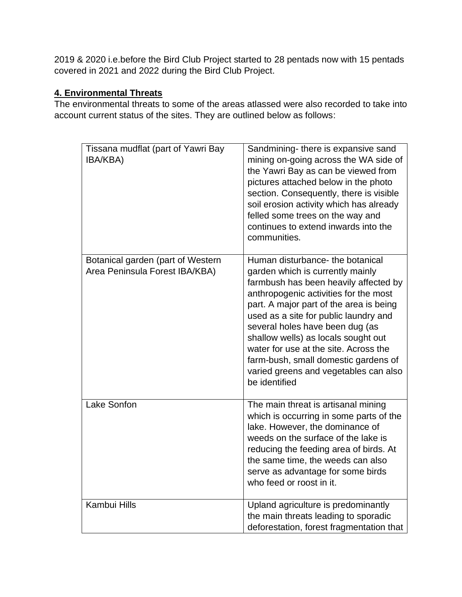2019 & 2020 i.e.before the Bird Club Project started to 28 pentads now with 15 pentads covered in 2021 and 2022 during the Bird Club Project.

## **4. Environmental Threats**

The environmental threats to some of the areas atlassed were also recorded to take into account current status of the sites. They are outlined below as follows:

| Tissana mudflat (part of Yawri Bay<br>IBA/KBA)                      | Sandmining- there is expansive sand<br>mining on-going across the WA side of<br>the Yawri Bay as can be viewed from<br>pictures attached below in the photo<br>section. Consequently, there is visible<br>soil erosion activity which has already<br>felled some trees on the way and<br>continues to extend inwards into the<br>communities.                                                                                                                   |
|---------------------------------------------------------------------|-----------------------------------------------------------------------------------------------------------------------------------------------------------------------------------------------------------------------------------------------------------------------------------------------------------------------------------------------------------------------------------------------------------------------------------------------------------------|
| Botanical garden (part of Western<br>Area Peninsula Forest IBA/KBA) | Human disturbance- the botanical<br>garden which is currently mainly<br>farmbush has been heavily affected by<br>anthropogenic activities for the most<br>part. A major part of the area is being<br>used as a site for public laundry and<br>several holes have been dug (as<br>shallow wells) as locals sought out<br>water for use at the site. Across the<br>farm-bush, small domestic gardens of<br>varied greens and vegetables can also<br>be identified |
| Lake Sonfon                                                         | The main threat is artisanal mining<br>which is occurring in some parts of the<br>lake. However, the dominance of<br>weeds on the surface of the lake is<br>reducing the feeding area of birds. At<br>the same time, the weeds can also<br>serve as advantage for some birds<br>who feed or roost in it.                                                                                                                                                        |
| <b>Kambui Hills</b>                                                 | Upland agriculture is predominantly<br>the main threats leading to sporadic<br>deforestation, forest fragmentation that                                                                                                                                                                                                                                                                                                                                         |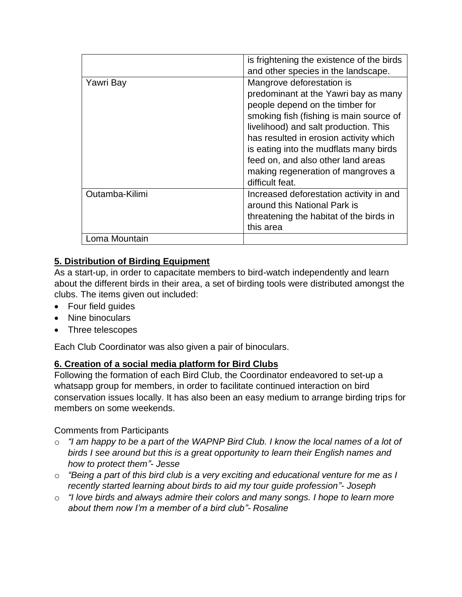|                | is frightening the existence of the birds<br>and other species in the landscape.                                                                                                                                                                                                                                                                                            |
|----------------|-----------------------------------------------------------------------------------------------------------------------------------------------------------------------------------------------------------------------------------------------------------------------------------------------------------------------------------------------------------------------------|
| Yawri Bay      | Mangrove deforestation is<br>predominant at the Yawri bay as many<br>people depend on the timber for<br>smoking fish (fishing is main source of<br>livelihood) and salt production. This<br>has resulted in erosion activity which<br>is eating into the mudflats many birds<br>feed on, and also other land areas<br>making regeneration of mangroves a<br>difficult feat. |
| Outamba-Kilimi | Increased deforestation activity in and<br>around this National Park is<br>threatening the habitat of the birds in<br>this area                                                                                                                                                                                                                                             |
| Loma Mountain  |                                                                                                                                                                                                                                                                                                                                                                             |

## **5. Distribution of Birding Equipment**

As a start-up, in order to capacitate members to bird-watch independently and learn about the different birds in their area, a set of birding tools were distributed amongst the clubs. The items given out included:

- Four field guides
- Nine binoculars
- Three telescopes

Each Club Coordinator was also given a pair of binoculars.

## **6. Creation of a social media platform for Bird Clubs**

Following the formation of each Bird Club, the Coordinator endeavored to set-up a whatsapp group for members, in order to facilitate continued interaction on bird conservation issues locally. It has also been an easy medium to arrange birding trips for members on some weekends.

## Comments from Participants

- o *"I am happy to be a part of the WAPNP Bird Club. I know the local names of a lot of birds I see around but this is a great opportunity to learn their English names and how to protect them"- Jesse*
- o *"Being a part of this bird club is a very exciting and educational venture for me as I recently started learning about birds to aid my tour guide profession"- Joseph*
- o *"I love birds and always admire their colors and many songs. I hope to learn more about them now I'm a member of a bird club"- Rosaline*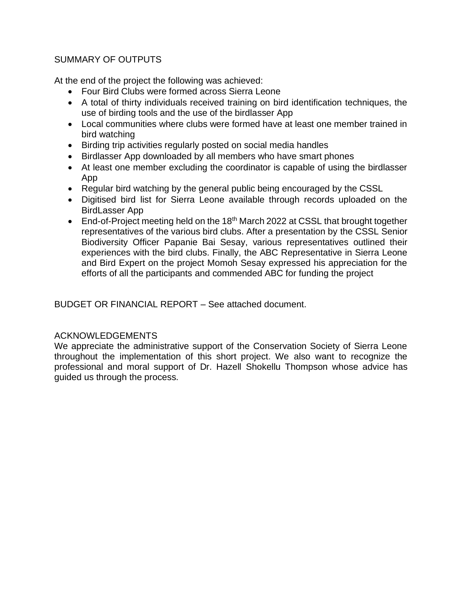### SUMMARY OF OUTPUTS

At the end of the project the following was achieved:

- Four Bird Clubs were formed across Sierra Leone
- A total of thirty individuals received training on bird identification techniques, the use of birding tools and the use of the birdlasser App
- Local communities where clubs were formed have at least one member trained in bird watching
- Birding trip activities regularly posted on social media handles
- Birdlasser App downloaded by all members who have smart phones
- At least one member excluding the coordinator is capable of using the birdlasser App
- Regular bird watching by the general public being encouraged by the CSSL
- Digitised bird list for Sierra Leone available through records uploaded on the BirdLasser App
- End-of-Project meeting held on the 18<sup>th</sup> March 2022 at CSSL that brought together representatives of the various bird clubs. After a presentation by the CSSL Senior Biodiversity Officer Papanie Bai Sesay, various representatives outlined their experiences with the bird clubs. Finally, the ABC Representative in Sierra Leone and Bird Expert on the project Momoh Sesay expressed his appreciation for the efforts of all the participants and commended ABC for funding the project

BUDGET OR FINANCIAL REPORT – See attached document.

#### ACKNOWLEDGEMENTS

We appreciate the administrative support of the Conservation Society of Sierra Leone throughout the implementation of this short project. We also want to recognize the professional and moral support of Dr. Hazell Shokellu Thompson whose advice has guided us through the process.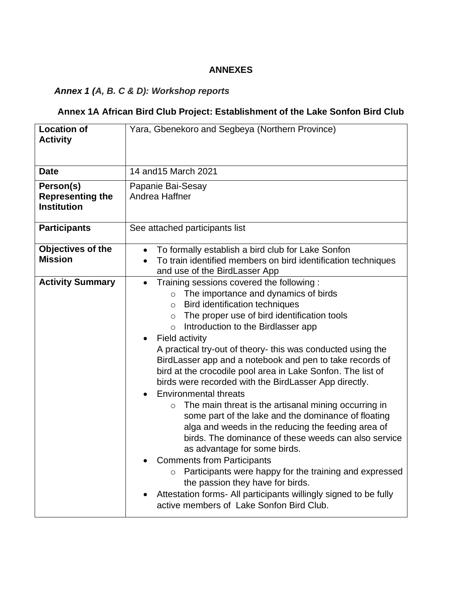## **ANNEXES**

# *Annex 1 (A, B. C & D): Workshop reports*

## **Annex 1A African Bird Club Project: Establishment of the Lake Sonfon Bird Club**

| <b>Location of</b><br><b>Activity</b>                      | Yara, Gbenekoro and Segbeya (Northern Province)                                                                                                                                                                                                                                                                                                                                                                                                                                                                                                                                                                                                                                                                                                                                                                                                                                                                                                                                                                                                                                           |
|------------------------------------------------------------|-------------------------------------------------------------------------------------------------------------------------------------------------------------------------------------------------------------------------------------------------------------------------------------------------------------------------------------------------------------------------------------------------------------------------------------------------------------------------------------------------------------------------------------------------------------------------------------------------------------------------------------------------------------------------------------------------------------------------------------------------------------------------------------------------------------------------------------------------------------------------------------------------------------------------------------------------------------------------------------------------------------------------------------------------------------------------------------------|
| <b>Date</b>                                                | 14 and 15 March 2021                                                                                                                                                                                                                                                                                                                                                                                                                                                                                                                                                                                                                                                                                                                                                                                                                                                                                                                                                                                                                                                                      |
| Person(s)<br><b>Representing the</b><br><b>Institution</b> | Papanie Bai-Sesay<br>Andrea Haffner                                                                                                                                                                                                                                                                                                                                                                                                                                                                                                                                                                                                                                                                                                                                                                                                                                                                                                                                                                                                                                                       |
| <b>Participants</b>                                        | See attached participants list                                                                                                                                                                                                                                                                                                                                                                                                                                                                                                                                                                                                                                                                                                                                                                                                                                                                                                                                                                                                                                                            |
| Objectives of the<br><b>Mission</b>                        | To formally establish a bird club for Lake Sonfon<br>$\bullet$<br>To train identified members on bird identification techniques<br>$\bullet$<br>and use of the BirdLasser App                                                                                                                                                                                                                                                                                                                                                                                                                                                                                                                                                                                                                                                                                                                                                                                                                                                                                                             |
| <b>Activity Summary</b>                                    | Training sessions covered the following:<br>$\bullet$<br>o The importance and dynamics of birds<br>o Bird identification techniques<br>The proper use of bird identification tools<br>$\circ$<br>Introduction to the Birdlasser app<br>$\circ$<br>Field activity<br>A practical try-out of theory- this was conducted using the<br>BirdLasser app and a notebook and pen to take records of<br>bird at the crocodile pool area in Lake Sonfon. The list of<br>birds were recorded with the BirdLasser App directly.<br><b>Environmental threats</b><br>The main threat is the artisanal mining occurring in<br>$\circ$<br>some part of the lake and the dominance of floating<br>alga and weeds in the reducing the feeding area of<br>birds. The dominance of these weeds can also service<br>as advantage for some birds.<br><b>Comments from Participants</b><br>Participants were happy for the training and expressed<br>$\circ$<br>the passion they have for birds.<br>Attestation forms- All participants willingly signed to be fully<br>active members of Lake Sonfon Bird Club. |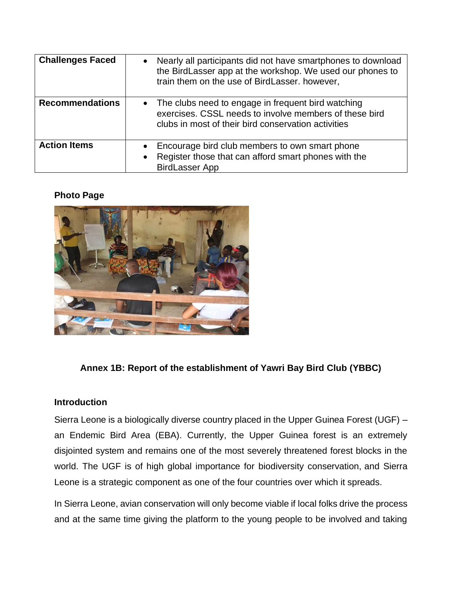| <b>Challenges Faced</b> | Nearly all participants did not have smartphones to download<br>the BirdLasser app at the workshop. We used our phones to<br>train them on the use of BirdLasser. however,       |
|-------------------------|----------------------------------------------------------------------------------------------------------------------------------------------------------------------------------|
| <b>Recommendations</b>  | The clubs need to engage in frequent bird watching<br>$\bullet$<br>exercises. CSSL needs to involve members of these bird<br>clubs in most of their bird conservation activities |
| <b>Action Items</b>     | Encourage bird club members to own smart phone<br>Register those that can afford smart phones with the<br><b>BirdLasser App</b>                                                  |

#### **Photo Page**



## **Annex 1B: Report of the establishment of Yawri Bay Bird Club (YBBC)**

#### **Introduction**

Sierra Leone is a biologically diverse country placed in the Upper Guinea Forest (UGF) – an Endemic Bird Area (EBA). Currently, the Upper Guinea forest is an extremely disjointed system and remains one of the most severely threatened forest blocks in the world. The UGF is of high global importance for biodiversity conservation, and Sierra Leone is a strategic component as one of the four countries over which it spreads.

In Sierra Leone, avian conservation will only become viable if local folks drive the process and at the same time giving the platform to the young people to be involved and taking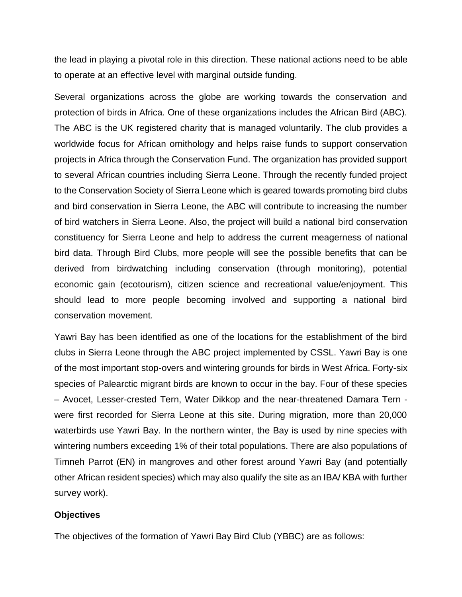the lead in playing a pivotal role in this direction. These national actions need to be able to operate at an effective level with marginal outside funding.

Several organizations across the globe are working towards the conservation and protection of birds in Africa. One of these organizations includes the African Bird (ABC). The ABC is the UK registered charity that is managed voluntarily. The club provides a worldwide focus for African ornithology and helps raise funds to support conservation projects in Africa through the Conservation Fund. The organization has provided support to several African countries including Sierra Leone. Through the recently funded project to the Conservation Society of Sierra Leone which is geared towards promoting bird clubs and bird conservation in Sierra Leone, the ABC will contribute to increasing the number of bird watchers in Sierra Leone. Also, the project will build a national bird conservation constituency for Sierra Leone and help to address the current meagerness of national bird data. Through Bird Clubs, more people will see the possible benefits that can be derived from birdwatching including conservation (through monitoring), potential economic gain (ecotourism), citizen science and recreational value/enjoyment. This should lead to more people becoming involved and supporting a national bird conservation movement.

Yawri Bay has been identified as one of the locations for the establishment of the bird clubs in Sierra Leone through the ABC project implemented by CSSL. Yawri Bay is one of the most important stop-overs and wintering grounds for birds in West Africa. Forty-six species of Palearctic migrant birds are known to occur in the bay. Four of these species – Avocet, Lesser-crested Tern, Water Dikkop and the near-threatened Damara Tern were first recorded for Sierra Leone at this site. During migration, more than 20,000 waterbirds use Yawri Bay. In the northern winter, the Bay is used by nine species with wintering numbers exceeding 1% of their total populations. There are also populations of Timneh Parrot (EN) in mangroves and other forest around Yawri Bay (and potentially other African resident species) which may also qualify the site as an IBA/ KBA with further survey work).

#### **Objectives**

The objectives of the formation of Yawri Bay Bird Club (YBBC) are as follows: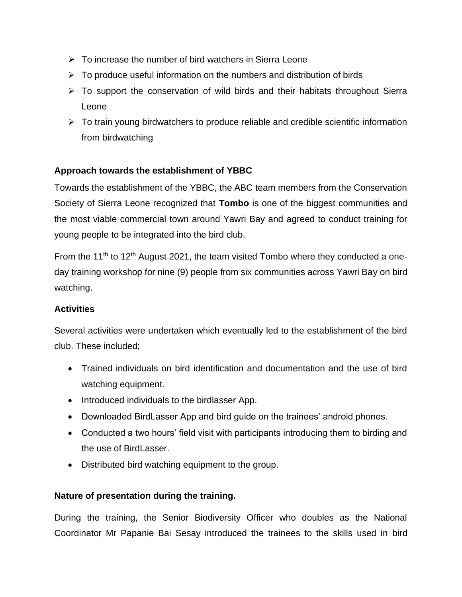- $\triangleright$  To increase the number of bird watchers in Sierra Leone
- $\triangleright$  To produce useful information on the numbers and distribution of birds
- ➢ To support the conservation of wild birds and their habitats throughout Sierra Leone
- $\triangleright$  To train young birdwatchers to produce reliable and credible scientific information from birdwatching

## **Approach towards the establishment of YBBC**

Towards the establishment of the YBBC, the ABC team members from the Conservation Society of Sierra Leone recognized that **Tombo** is one of the biggest communities and the most viable commercial town around Yawri Bay and agreed to conduct training for young people to be integrated into the bird club.

From the 11<sup>th</sup> to 12<sup>th</sup> August 2021, the team visited Tombo where they conducted a oneday training workshop for nine (9) people from six communities across Yawri Bay on bird watching.

## **Activities**

Several activities were undertaken which eventually led to the establishment of the bird club. These included;

- Trained individuals on bird identification and documentation and the use of bird watching equipment.
- Introduced individuals to the birdlasser App.
- Downloaded BirdLasser App and bird guide on the trainees' android phones.
- Conducted a two hours' field visit with participants introducing them to birding and the use of BirdLasser.
- Distributed bird watching equipment to the group.

## **Nature of presentation during the training.**

During the training, the Senior Biodiversity Officer who doubles as the National Coordinator Mr Papanie Bai Sesay introduced the trainees to the skills used in bird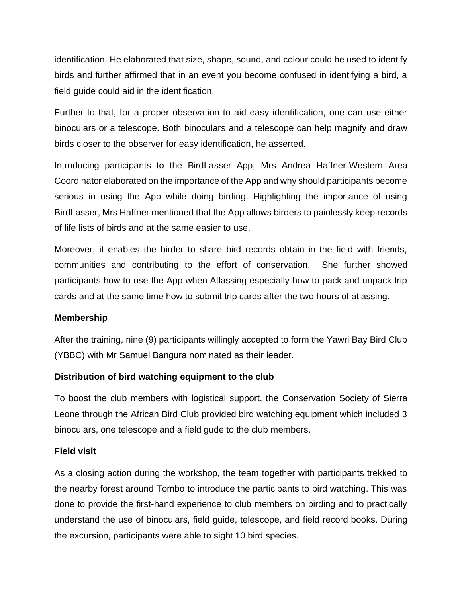identification. He elaborated that size, shape, sound, and colour could be used to identify birds and further affirmed that in an event you become confused in identifying a bird, a field guide could aid in the identification.

Further to that, for a proper observation to aid easy identification, one can use either binoculars or a telescope. Both binoculars and a telescope can help magnify and draw birds closer to the observer for easy identification, he asserted.

Introducing participants to the BirdLasser App, Mrs Andrea Haffner-Western Area Coordinator elaborated on the importance of the App and why should participants become serious in using the App while doing birding. Highlighting the importance of using BirdLasser, Mrs Haffner mentioned that the App allows birders to painlessly keep records of life lists of birds and at the same easier to use.

Moreover, it enables the birder to share bird records obtain in the field with friends, communities and contributing to the effort of conservation. She further showed participants how to use the App when Atlassing especially how to pack and unpack trip cards and at the same time how to submit trip cards after the two hours of atlassing.

#### **Membership**

After the training, nine (9) participants willingly accepted to form the Yawri Bay Bird Club (YBBC) with Mr Samuel Bangura nominated as their leader.

## **Distribution of bird watching equipment to the club**

To boost the club members with logistical support, the Conservation Society of Sierra Leone through the African Bird Club provided bird watching equipment which included 3 binoculars, one telescope and a field gude to the club members.

#### **Field visit**

As a closing action during the workshop, the team together with participants trekked to the nearby forest around Tombo to introduce the participants to bird watching. This was done to provide the first-hand experience to club members on birding and to practically understand the use of binoculars, field guide, telescope, and field record books. During the excursion, participants were able to sight 10 bird species.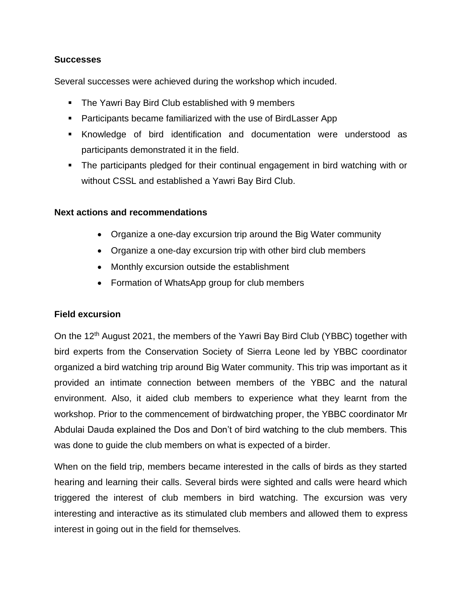#### **Successes**

Several successes were achieved during the workshop which incuded.

- The Yawri Bay Bird Club established with 9 members
- Participants became familiarized with the use of BirdLasser App
- Knowledge of bird identification and documentation were understood as participants demonstrated it in the field.
- The participants pledged for their continual engagement in bird watching with or without CSSL and established a Yawri Bay Bird Club.

#### **Next actions and recommendations**

- Organize a one-day excursion trip around the Big Water community
- Organize a one-day excursion trip with other bird club members
- Monthly excursion outside the establishment
- Formation of WhatsApp group for club members

## **Field excursion**

On the 12<sup>th</sup> August 2021, the members of the Yawri Bay Bird Club (YBBC) together with bird experts from the Conservation Society of Sierra Leone led by YBBC coordinator organized a bird watching trip around Big Water community. This trip was important as it provided an intimate connection between members of the YBBC and the natural environment. Also, it aided club members to experience what they learnt from the workshop. Prior to the commencement of birdwatching proper, the YBBC coordinator Mr Abdulai Dauda explained the Dos and Don't of bird watching to the club members. This was done to guide the club members on what is expected of a birder.

When on the field trip, members became interested in the calls of birds as they started hearing and learning their calls. Several birds were sighted and calls were heard which triggered the interest of club members in bird watching. The excursion was very interesting and interactive as its stimulated club members and allowed them to express interest in going out in the field for themselves.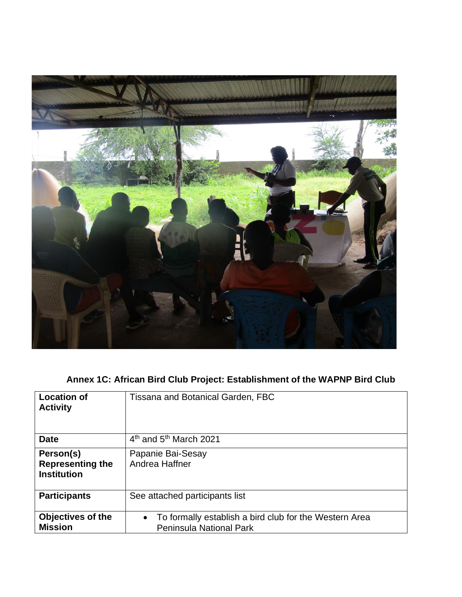

# **Annex 1C: African Bird Club Project: Establishment of the WAPNP Bird Club**

| <b>Location of</b><br><b>Activity</b>                      | <b>Tissana and Botanical Garden, FBC</b>                                                              |
|------------------------------------------------------------|-------------------------------------------------------------------------------------------------------|
| <b>Date</b>                                                | $4th$ and $5th$ March 2021                                                                            |
| Person(s)<br><b>Representing the</b><br><b>Institution</b> | Papanie Bai-Sesay<br>Andrea Haffner                                                                   |
| <b>Participants</b>                                        | See attached participants list                                                                        |
| <b>Objectives of the</b><br><b>Mission</b>                 | To formally establish a bird club for the Western Area<br>$\bullet$<br><b>Peninsula National Park</b> |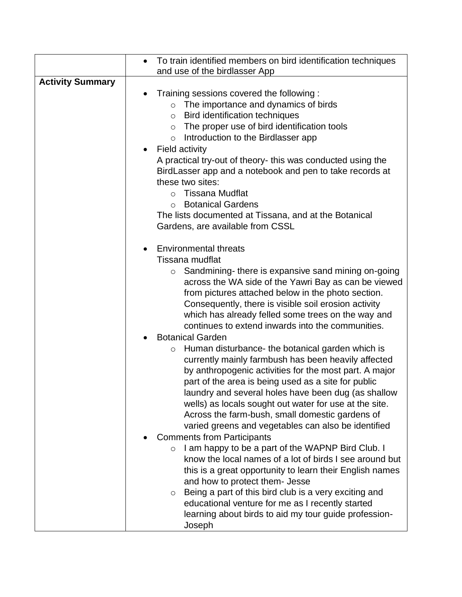|                         | To train identified members on bird identification techniques                                                                                                                                                                                                                                                                                                                                                                                                                                                                                                                                                                                                                                                                                                                                                                                                                                                           |
|-------------------------|-------------------------------------------------------------------------------------------------------------------------------------------------------------------------------------------------------------------------------------------------------------------------------------------------------------------------------------------------------------------------------------------------------------------------------------------------------------------------------------------------------------------------------------------------------------------------------------------------------------------------------------------------------------------------------------------------------------------------------------------------------------------------------------------------------------------------------------------------------------------------------------------------------------------------|
|                         | and use of the birdlasser App                                                                                                                                                                                                                                                                                                                                                                                                                                                                                                                                                                                                                                                                                                                                                                                                                                                                                           |
| <b>Activity Summary</b> | Training sessions covered the following:<br>$\circ$ The importance and dynamics of birds<br>Bird identification techniques<br>$\circ$<br>The proper use of bird identification tools<br>$\circ$<br>Introduction to the Birdlasser app<br>$\circ$<br><b>Field activity</b><br>A practical try-out of theory- this was conducted using the<br>BirdLasser app and a notebook and pen to take records at<br>these two sites:<br><b>Tissana Mudflat</b><br>$\Omega$<br><b>Botanical Gardens</b><br>$\Omega$<br>The lists documented at Tissana, and at the Botanical<br>Gardens, are available from CSSL                                                                                                                                                                                                                                                                                                                     |
|                         | <b>Environmental threats</b><br>Tissana mudflat<br>Sandmining- there is expansive sand mining on-going<br>$\circ$<br>across the WA side of the Yawri Bay as can be viewed<br>from pictures attached below in the photo section.<br>Consequently, there is visible soil erosion activity<br>which has already felled some trees on the way and<br>continues to extend inwards into the communities.<br><b>Botanical Garden</b>                                                                                                                                                                                                                                                                                                                                                                                                                                                                                           |
|                         | Human disturbance- the botanical garden which is<br>$\circ$<br>currently mainly farmbush has been heavily affected<br>by anthropogenic activities for the most part. A major<br>part of the area is being used as a site for public<br>laundry and several holes have been dug (as shallow<br>wells) as locals sought out water for use at the site.<br>Across the farm-bush, small domestic gardens of<br>varied greens and vegetables can also be identified<br><b>Comments from Participants</b><br>I am happy to be a part of the WAPNP Bird Club. I<br>$\circ$<br>know the local names of a lot of birds I see around but<br>this is a great opportunity to learn their English names<br>and how to protect them- Jesse<br>Being a part of this bird club is a very exciting and<br>$\circ$<br>educational venture for me as I recently started<br>learning about birds to aid my tour guide profession-<br>Joseph |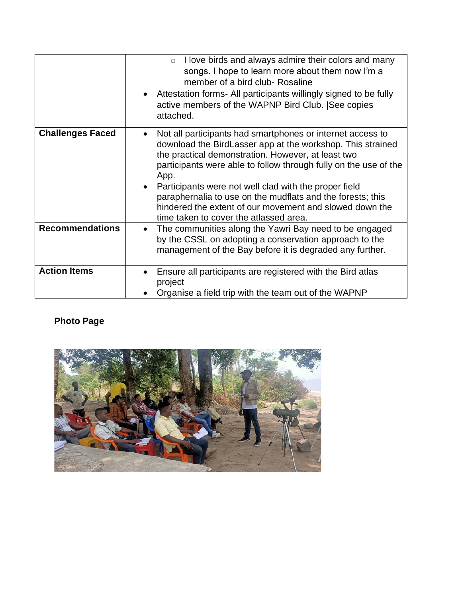|                         | I love birds and always admire their colors and many<br>$\circ$<br>songs. I hope to learn more about them now I'm a<br>member of a bird club- Rosaline<br>Attestation forms- All participants willingly signed to be fully<br>active members of the WAPNP Bird Club.  See copies<br>attached.                                                                                                                                                                                          |
|-------------------------|----------------------------------------------------------------------------------------------------------------------------------------------------------------------------------------------------------------------------------------------------------------------------------------------------------------------------------------------------------------------------------------------------------------------------------------------------------------------------------------|
| <b>Challenges Faced</b> | Not all participants had smartphones or internet access to<br>download the BirdLasser app at the workshop. This strained<br>the practical demonstration. However, at least two<br>participants were able to follow through fully on the use of the<br>App.<br>Participants were not well clad with the proper field<br>paraphernalia to use on the mudflats and the forests; this<br>hindered the extent of our movement and slowed down the<br>time taken to cover the atlassed area. |
| <b>Recommendations</b>  | The communities along the Yawri Bay need to be engaged<br>$\bullet$<br>by the CSSL on adopting a conservation approach to the<br>management of the Bay before it is degraded any further.                                                                                                                                                                                                                                                                                              |
| <b>Action Items</b>     | Ensure all participants are registered with the Bird atlas<br>project<br>Organise a field trip with the team out of the WAPNP                                                                                                                                                                                                                                                                                                                                                          |

## **Photo Page**

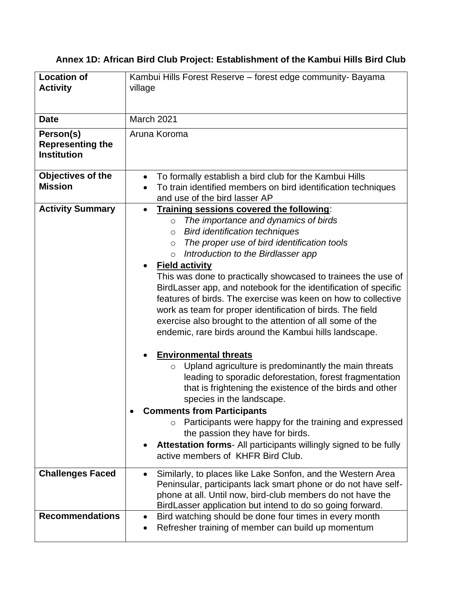## **Annex 1D: African Bird Club Project: Establishment of the Kambui Hills Bird Club**

| <b>Location of</b><br><b>Activity</b>                      | Kambui Hills Forest Reserve - forest edge community- Bayama<br>village                                                                                                                                                                                                                                                                                                                                                                                                                                                                                                                                                                                                                                                                                                                                                                                                                                                                                                                                                                                                                                                                                                                                                |  |
|------------------------------------------------------------|-----------------------------------------------------------------------------------------------------------------------------------------------------------------------------------------------------------------------------------------------------------------------------------------------------------------------------------------------------------------------------------------------------------------------------------------------------------------------------------------------------------------------------------------------------------------------------------------------------------------------------------------------------------------------------------------------------------------------------------------------------------------------------------------------------------------------------------------------------------------------------------------------------------------------------------------------------------------------------------------------------------------------------------------------------------------------------------------------------------------------------------------------------------------------------------------------------------------------|--|
| <b>Date</b>                                                | March 2021                                                                                                                                                                                                                                                                                                                                                                                                                                                                                                                                                                                                                                                                                                                                                                                                                                                                                                                                                                                                                                                                                                                                                                                                            |  |
| Person(s)<br><b>Representing the</b><br><b>Institution</b> | Aruna Koroma                                                                                                                                                                                                                                                                                                                                                                                                                                                                                                                                                                                                                                                                                                                                                                                                                                                                                                                                                                                                                                                                                                                                                                                                          |  |
| Objectives of the<br><b>Mission</b>                        | To formally establish a bird club for the Kambui Hills<br>To train identified members on bird identification techniques<br>and use of the bird lasser AP                                                                                                                                                                                                                                                                                                                                                                                                                                                                                                                                                                                                                                                                                                                                                                                                                                                                                                                                                                                                                                                              |  |
| <b>Activity Summary</b>                                    | Training sessions covered the following:<br>$\bullet$<br>The importance and dynamics of birds<br>$\circ$<br><b>Bird identification techniques</b><br>$\circ$<br>The proper use of bird identification tools<br>$\circ$<br>Introduction to the Birdlasser app<br>$\circ$<br><b>Field activity</b><br>This was done to practically showcased to trainees the use of<br>BirdLasser app, and notebook for the identification of specific<br>features of birds. The exercise was keen on how to collective<br>work as team for proper identification of birds. The field<br>exercise also brought to the attention of all some of the<br>endemic, rare birds around the Kambui hills landscape.<br><b>Environmental threats</b><br>Upland agriculture is predominantly the main threats<br>$\circ$<br>leading to sporadic deforestation, forest fragmentation<br>that is frightening the existence of the birds and other<br>species in the landscape.<br><b>Comments from Participants</b><br>$\bullet$<br>Participants were happy for the training and expressed<br>$\circ$<br>the passion they have for birds.<br>Attestation forms- All participants willingly signed to be fully<br>active members of KHFR Bird Club. |  |
| <b>Challenges Faced</b>                                    | Similarly, to places like Lake Sonfon, and the Western Area<br>$\bullet$<br>Peninsular, participants lack smart phone or do not have self-<br>phone at all. Until now, bird-club members do not have the<br>BirdLasser application but intend to do so going forward.                                                                                                                                                                                                                                                                                                                                                                                                                                                                                                                                                                                                                                                                                                                                                                                                                                                                                                                                                 |  |
| <b>Recommendations</b>                                     | Bird watching should be done four times in every month<br>$\bullet$<br>Refresher training of member can build up momentum                                                                                                                                                                                                                                                                                                                                                                                                                                                                                                                                                                                                                                                                                                                                                                                                                                                                                                                                                                                                                                                                                             |  |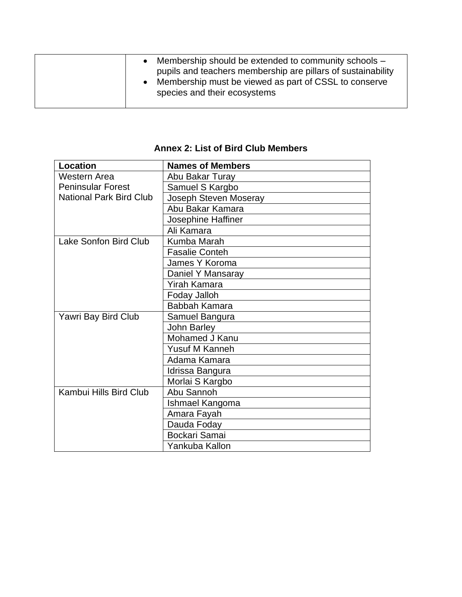|  |  | Membership should be extended to community schools –<br>pupils and teachers membership are pillars of sustainability<br>Membership must be viewed as part of CSSL to conserve<br>species and their ecosystems |
|--|--|---------------------------------------------------------------------------------------------------------------------------------------------------------------------------------------------------------------|
|--|--|---------------------------------------------------------------------------------------------------------------------------------------------------------------------------------------------------------------|

## **Annex 2: List of Bird Club Members**

| <b>Location</b>                | <b>Names of Members</b> |
|--------------------------------|-------------------------|
| Western Area                   | Abu Bakar Turay         |
| <b>Peninsular Forest</b>       | Samuel S Kargbo         |
| <b>National Park Bird Club</b> | Joseph Steven Moseray   |
|                                | Abu Bakar Kamara        |
|                                | Josephine Haffiner      |
|                                | Ali Kamara              |
| Lake Sonfon Bird Club          | Kumba Marah             |
|                                | <b>Fasalie Conteh</b>   |
|                                | James Y Koroma          |
|                                | Daniel Y Mansaray       |
|                                | <b>Yirah Kamara</b>     |
|                                | Foday Jalloh            |
|                                | Babbah Kamara           |
| Yawri Bay Bird Club            | Samuel Bangura          |
|                                | John Barley             |
|                                | Mohamed J Kanu          |
|                                | Yusuf M Kanneh          |
|                                | Adama Kamara            |
|                                | Idrissa Bangura         |
|                                | Morlai S Kargbo         |
| Kambui Hills Bird Club         | Abu Sannoh              |
|                                | Ishmael Kangoma         |
|                                | Amara Fayah             |
|                                | Dauda Foday             |
|                                | Bockari Samai           |
|                                | Yankuba Kallon          |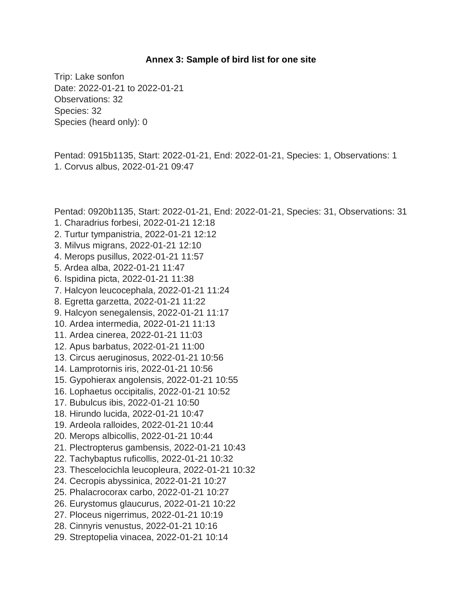#### **Annex 3: Sample of bird list for one site**

Trip: Lake sonfon Date: 2022-01-21 to 2022-01-21 Observations: 32 Species: 32 Species (heard only): 0

Pentad: 0915b1135, Start: 2022-01-21, End: 2022-01-21, Species: 1, Observations: 1 1. Corvus albus, 2022-01-21 09:47

Pentad: 0920b1135, Start: 2022-01-21, End: 2022-01-21, Species: 31, Observations: 31 1. Charadrius forbesi, 2022-01-21 12:18

- 2. Turtur tympanistria, 2022-01-21 12:12
- 3. Milvus migrans, 2022-01-21 12:10
- 4. Merops pusillus, 2022-01-21 11:57
- 5. Ardea alba, 2022-01-21 11:47
- 6. Ispidina picta, 2022-01-21 11:38
- 7. Halcyon leucocephala, 2022-01-21 11:24
- 8. Egretta garzetta, 2022-01-21 11:22
- 9. Halcyon senegalensis, 2022-01-21 11:17
- 10. Ardea intermedia, 2022-01-21 11:13
- 11. Ardea cinerea, 2022-01-21 11:03
- 12. Apus barbatus, 2022-01-21 11:00
- 13. Circus aeruginosus, 2022-01-21 10:56
- 14. Lamprotornis iris, 2022-01-21 10:56
- 15. Gypohierax angolensis, 2022-01-21 10:55
- 16. Lophaetus occipitalis, 2022-01-21 10:52
- 17. Bubulcus ibis, 2022-01-21 10:50
- 18. Hirundo lucida, 2022-01-21 10:47
- 19. Ardeola ralloides, 2022-01-21 10:44
- 20. Merops albicollis, 2022-01-21 10:44
- 21. Plectropterus gambensis, 2022-01-21 10:43
- 22. Tachybaptus ruficollis, 2022-01-21 10:32
- 23. Thescelocichla leucopleura, 2022-01-21 10:32
- 24. Cecropis abyssinica, 2022-01-21 10:27
- 25. Phalacrocorax carbo, 2022-01-21 10:27
- 26. Eurystomus glaucurus, 2022-01-21 10:22
- 27. Ploceus nigerrimus, 2022-01-21 10:19
- 28. Cinnyris venustus, 2022-01-21 10:16
- 29. Streptopelia vinacea, 2022-01-21 10:14